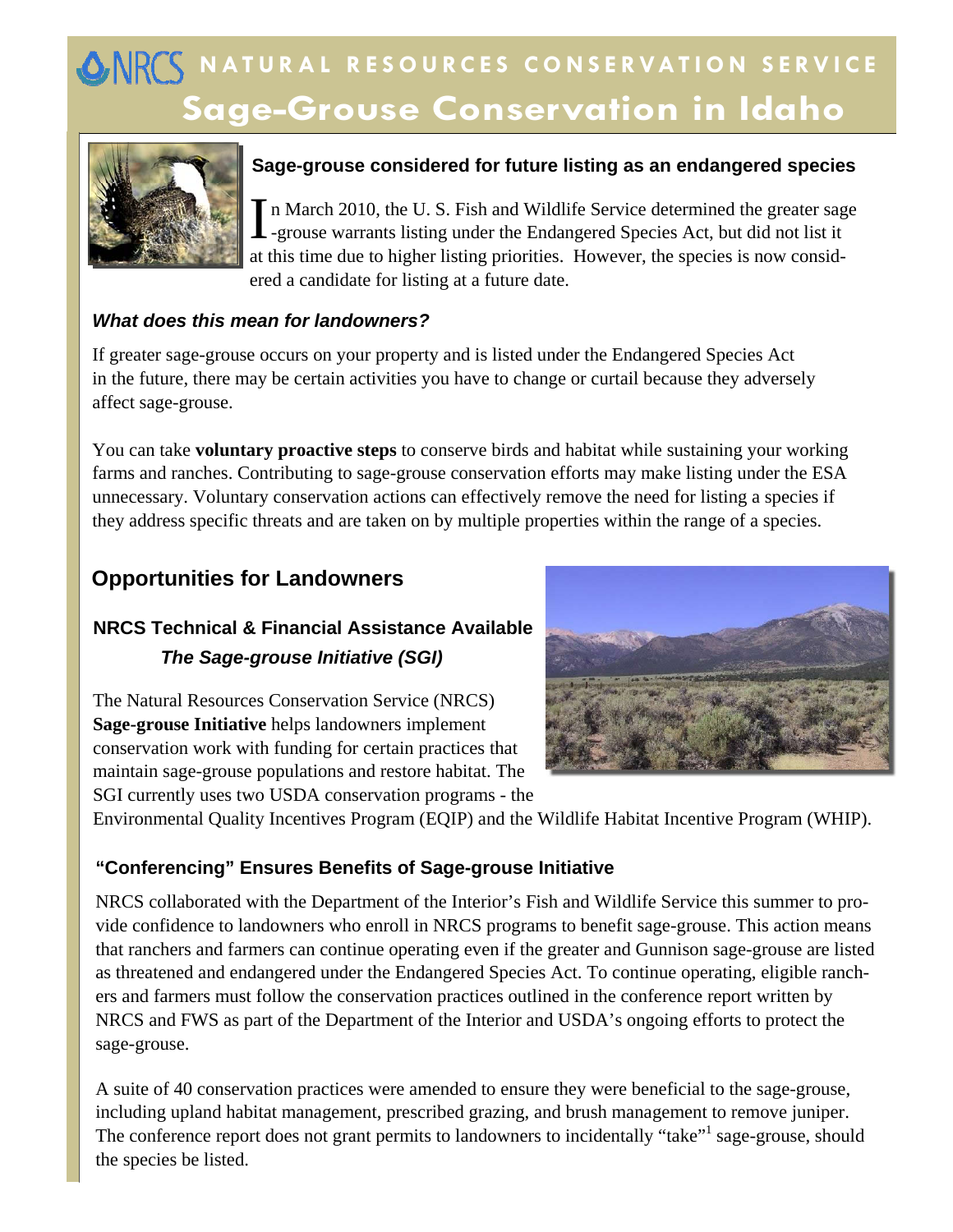# **Sage-Grouse Conservation in Idaho ANRES NATURAL RESOURCES CONSERVATION SERVICE**



## **Sage-grouse considered for future listing as an endangered species**

In March 2010, the U. S. Fish and Wildlife Service determined the greater sage<br>I -grouse warrants listing under the Endangered Species Act, but did not list it at this time due to higher listing priorities. However, the species is now considered a candidate for listing at a future date.

#### *What does this mean for landowners?*

If greater sage-grouse occurs on your property and is listed under the Endangered Species Act in the future, there may be certain activities you have to change or curtail because they adversely affect sage-grouse.

You can take **voluntary proactive steps** to conserve birds and habitat while sustaining your working farms and ranches. Contributing to sage-grouse conservation efforts may make listing under the ESA unnecessary. Voluntary conservation actions can effectively remove the need for listing a species if they address specific threats and are taken on by multiple properties within the range of a species.

# **Opportunities for Landowners**

# **NRCS Technical & Financial Assistance Available** *The Sage-grouse Initiative (SGI)*

The Natural Resources Conservation Service (NRCS) **Sage-grouse Initiative** helps landowners implement conservation work with funding for certain practices that maintain sage-grouse populations and restore habitat. The SGI currently uses two USDA conservation programs - the



Environmental Quality Incentives Program (EQIP) and the Wildlife Habitat Incentive Program (WHIP).

### **"Conferencing" Ensures Benefits of Sage-grouse Initiative**

NRCS collaborated with the Department of the Interior's Fish and Wildlife Service this summer to provide confidence to landowners who enroll in NRCS programs to benefit sage-grouse. This action means that ranchers and farmers can continue operating even if the greater and Gunnison sage-grouse are listed as threatened and endangered under the Endangered Species Act. To continue operating, eligible ranchers and farmers must follow the conservation practices outlined in the conference report written by NRCS and FWS as part of the Department of the Interior and USDA's ongoing efforts to protect the sage-grouse.

A suite of 40 conservation practices were amended to ensure they were beneficial to the sage-grouse, including upland habitat management, prescribed grazing, and brush management to remove juniper. The conference report does not grant permits to landowners to incidentally "take"<sup>1</sup> sage-grouse, should the species be listed.